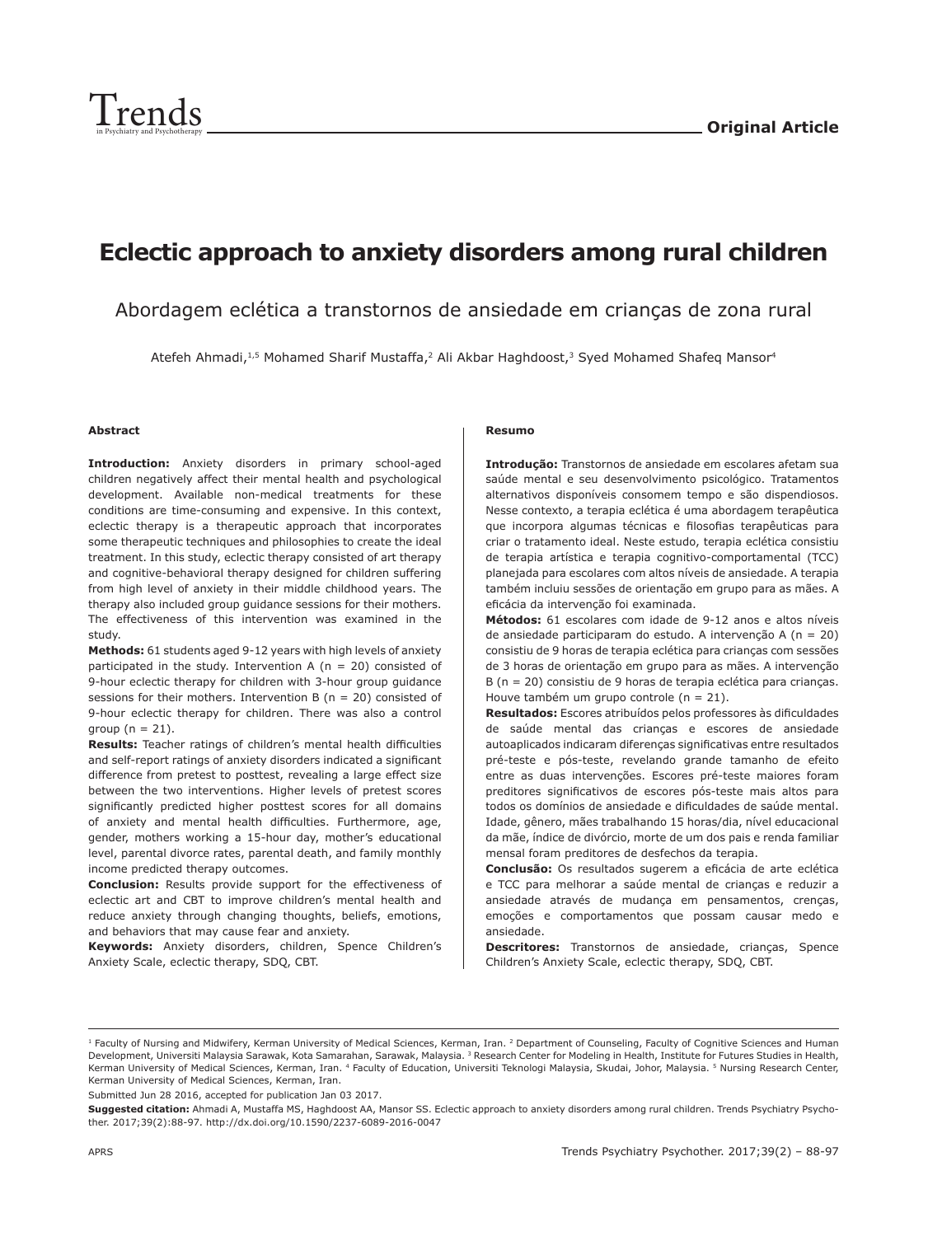# **Trends**

## **Eclectic approach to anxiety disorders among rural children**

### Abordagem eclética a transtornos de ansiedade em crianças de zona rural

Atefeh Ahmadi,<sup>1,5</sup> Mohamed Sharif Mustaffa,<sup>2</sup> Ali Akbar Haghdoost,<sup>3</sup> Syed Mohamed Shafeq Mansor<sup>4</sup>

#### **Abstract**

**Introduction:** Anxiety disorders in primary school-aged children negatively affect their mental health and psychological development. Available non-medical treatments for these conditions are time-consuming and expensive. In this context, eclectic therapy is a therapeutic approach that incorporates some therapeutic techniques and philosophies to create the ideal treatment. In this study, eclectic therapy consisted of art therapy and cognitive-behavioral therapy designed for children suffering from high level of anxiety in their middle childhood years. The therapy also included group guidance sessions for their mothers. The effectiveness of this intervention was examined in the study.

**Methods:** 61 students aged 9-12 years with high levels of anxiety participated in the study. Intervention A ( $n = 20$ ) consisted of 9-hour eclectic therapy for children with 3-hour group guidance sessions for their mothers. Intervention B ( $n = 20$ ) consisted of 9-hour eclectic therapy for children. There was also a control group ( $n = 21$ ).

**Results:** Teacher ratings of children's mental health difficulties and self-report ratings of anxiety disorders indicated a significant difference from pretest to posttest, revealing a large effect size between the two interventions. Higher levels of pretest scores significantly predicted higher posttest scores for all domains of anxiety and mental health difficulties. Furthermore, age, gender, mothers working a 15-hour day, mother's educational level, parental divorce rates, parental death, and family monthly income predicted therapy outcomes.

**Conclusion:** Results provide support for the effectiveness of eclectic art and CBT to improve children's mental health and reduce anxiety through changing thoughts, beliefs, emotions, and behaviors that may cause fear and anxiety.

**Keywords:** Anxiety disorders, children, Spence Children's Anxiety Scale, eclectic therapy, SDQ, CBT.

#### **Resumo**

**Introdução:** Transtornos de ansiedade em escolares afetam sua saúde mental e seu desenvolvimento psicológico. Tratamentos alternativos disponíveis consomem tempo e são dispendiosos. Nesse contexto, a terapia eclética é uma abordagem terapêutica que incorpora algumas técnicas e filosofias terapêuticas para criar o tratamento ideal. Neste estudo, terapia eclética consistiu de terapia artística e terapia cognitivo-comportamental (TCC) planejada para escolares com altos níveis de ansiedade. A terapia também incluiu sessões de orientação em grupo para as mães. A eficácia da intervenção foi examinada.

**Métodos:** 61 escolares com idade de 9-12 anos e altos níveis de ansiedade participaram do estudo. A intervenção A (n = 20) consistiu de 9 horas de terapia eclética para crianças com sessões de 3 horas de orientação em grupo para as mães. A intervenção B (n = 20) consistiu de 9 horas de terapia eclética para crianças. Houve também um grupo controle (n = 21).

**Resultados:** Escores atribuídos pelos professores às dificuldades de saúde mental das crianças e escores de ansiedade autoaplicados indicaram diferenças significativas entre resultados pré-teste e pós-teste, revelando grande tamanho de efeito entre as duas intervenções. Escores pré-teste maiores foram preditores significativos de escores pós-teste mais altos para todos os domínios de ansiedade e dificuldades de saúde mental. Idade, gênero, mães trabalhando 15 horas/dia, nível educacional da mãe, índice de divórcio, morte de um dos pais e renda familiar mensal foram preditores de desfechos da terapia.

**Conclusão:** Os resultados sugerem a eficácia de arte eclética e TCC para melhorar a saúde mental de crianças e reduzir a ansiedade através de mudança em pensamentos, crenças, emoções e comportamentos que possam causar medo e ansiedade.

**Descritores:** Transtornos de ansiedade, crianças, Spence Children's Anxiety Scale, eclectic therapy, SDQ, CBT.

Submitted Jun 28 2016, accepted for publication Jan 03 2017.

<sup>&</sup>lt;sup>1</sup> Faculty of Nursing and Midwifery, Kerman University of Medical Sciences, Kerman, Iran. <sup>2</sup> Department of Counseling, Faculty of Cognitive Sciences and Human Development, Universiti Malaysia Sarawak, Kota Samarahan, Sarawak, Malaysia.<sup>3</sup> Research Center for Modeling in Health, Institute for Futures Studies in Health, Kerman University of Medical Sciences, Kerman, Iran. 4 Faculty of Education, Universiti Teknologi Malaysia, Skudai, Johor, Malaysia. 5 Nursing Research Center, Kerman University of Medical Sciences, Kerman, Iran.

**Suggested citation:** Ahmadi A, Mustaffa MS, Haghdoost AA, Mansor SS. Eclectic approach to anxiety disorders among rural children. Trends Psychiatry Psychother. 2017;39(2):88-97. http://dx.doi.org/10.1590/2237-6089-2016-0047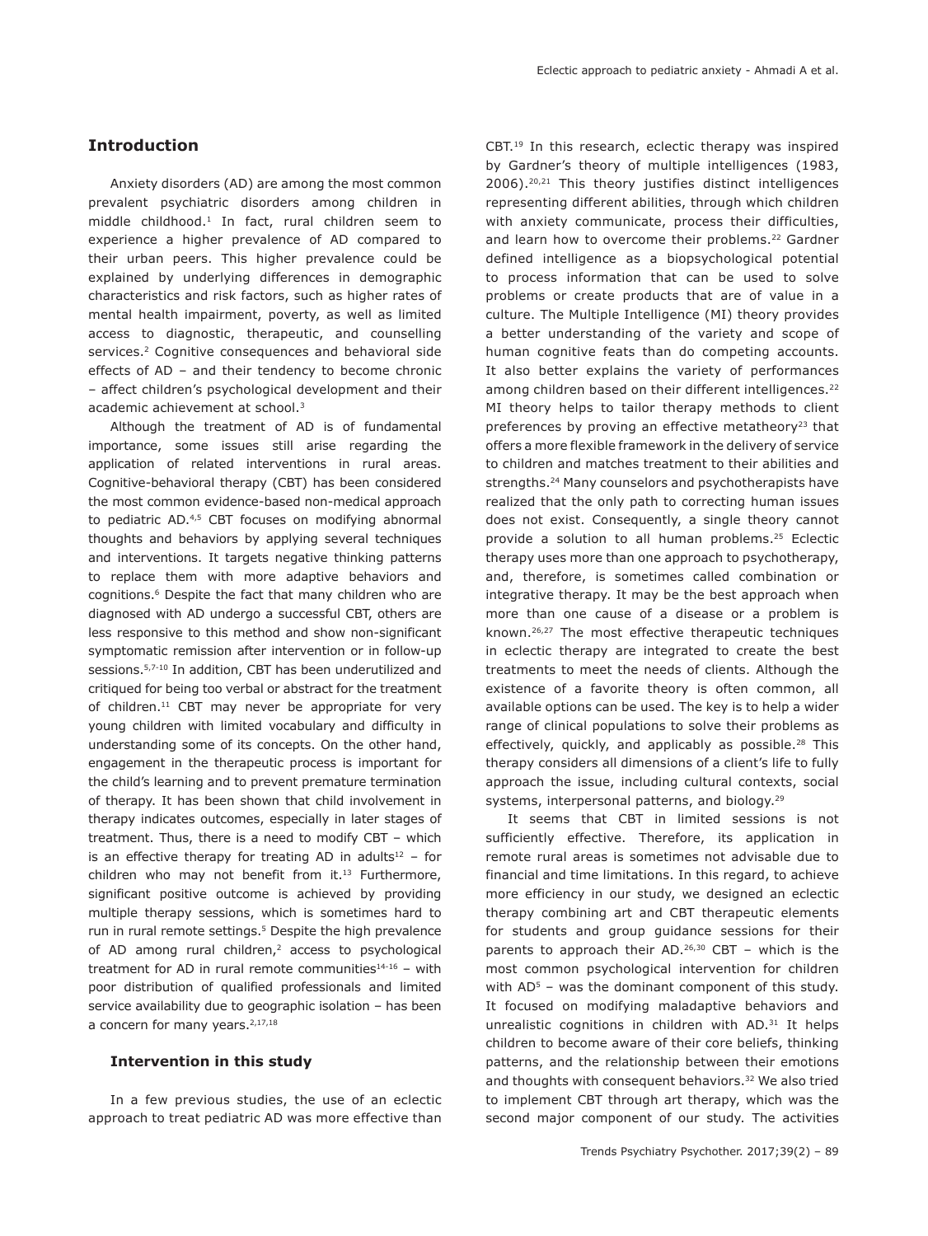#### **Introduction**

Anxiety disorders (AD) are among the most common prevalent psychiatric disorders among children in middle childhood.1 In fact, rural children seem to experience a higher prevalence of AD compared to their urban peers. This higher prevalence could be explained by underlying differences in demographic characteristics and risk factors, such as higher rates of mental health impairment, poverty, as well as limited access to diagnostic, therapeutic, and counselling services.<sup>2</sup> Cognitive consequences and behavioral side effects of AD – and their tendency to become chronic – affect children's psychological development and their academic achievement at school.3

Although the treatment of AD is of fundamental importance, some issues still arise regarding the application of related interventions in rural areas. Cognitive-behavioral therapy (CBT) has been considered the most common evidence-based non-medical approach to pediatric AD.4,5 CBT focuses on modifying abnormal thoughts and behaviors by applying several techniques and interventions. It targets negative thinking patterns to replace them with more adaptive behaviors and cognitions.6 Despite the fact that many children who are diagnosed with AD undergo a successful CBT, others are less responsive to this method and show non-significant symptomatic remission after intervention or in follow-up sessions.5,7-10 In addition, CBT has been underutilized and critiqued for being too verbal or abstract for the treatment of children.<sup>11</sup> CBT may never be appropriate for very young children with limited vocabulary and difficulty in understanding some of its concepts. On the other hand, engagement in the therapeutic process is important for the child's learning and to prevent premature termination of therapy. It has been shown that child involvement in therapy indicates outcomes, especially in later stages of treatment. Thus, there is a need to modify CBT – which is an effective therapy for treating AD in adults<sup>12</sup> - for children who may not benefit from it.<sup>13</sup> Furthermore, significant positive outcome is achieved by providing multiple therapy sessions, which is sometimes hard to run in rural remote settings.<sup>5</sup> Despite the high prevalence of AD among rural children,2 access to psychological treatment for AD in rural remote communities $14-16$  – with poor distribution of qualified professionals and limited service availability due to geographic isolation – has been a concern for many years.<sup>2,17,18</sup>

#### **Intervention in this study**

In a few previous studies, the use of an eclectic approach to treat pediatric AD was more effective than CBT.19 In this research, eclectic therapy was inspired by Gardner's theory of multiple intelligences (1983, 2006).20,21 This theory justifies distinct intelligences representing different abilities, through which children with anxiety communicate, process their difficulties, and learn how to overcome their problems.<sup>22</sup> Gardner defined intelligence as a biopsychological potential to process information that can be used to solve problems or create products that are of value in a culture. The Multiple Intelligence (MI) theory provides a better understanding of the variety and scope of human cognitive feats than do competing accounts. It also better explains the variety of performances among children based on their different intelligences.<sup>22</sup> MI theory helps to tailor therapy methods to client preferences by proving an effective metatheory<sup>23</sup> that offers a more flexible framework in the delivery of service to children and matches treatment to their abilities and strengths.24 Many counselors and psychotherapists have realized that the only path to correcting human issues does not exist. Consequently, a single theory cannot provide a solution to all human problems.25 Eclectic therapy uses more than one approach to psychotherapy, and, therefore, is sometimes called combination or integrative therapy. It may be the best approach when more than one cause of a disease or a problem is known.26,27 The most effective therapeutic techniques in eclectic therapy are integrated to create the best treatments to meet the needs of clients. Although the existence of a favorite theory is often common, all available options can be used. The key is to help a wider range of clinical populations to solve their problems as effectively, quickly, and applicably as possible.<sup>28</sup> This therapy considers all dimensions of a client's life to fully approach the issue, including cultural contexts, social systems, interpersonal patterns, and biology.29

It seems that CBT in limited sessions is not sufficiently effective. Therefore, its application in remote rural areas is sometimes not advisable due to financial and time limitations. In this regard, to achieve more efficiency in our study, we designed an eclectic therapy combining art and CBT therapeutic elements for students and group guidance sessions for their parents to approach their AD.26,30 CBT – which is the most common psychological intervention for children with  $AD<sup>5</sup>$  – was the dominant component of this study. It focused on modifying maladaptive behaviors and unrealistic cognitions in children with AD.<sup>31</sup> It helps children to become aware of their core beliefs, thinking patterns, and the relationship between their emotions and thoughts with consequent behaviors.<sup>32</sup> We also tried to implement CBT through art therapy, which was the second major component of our study. The activities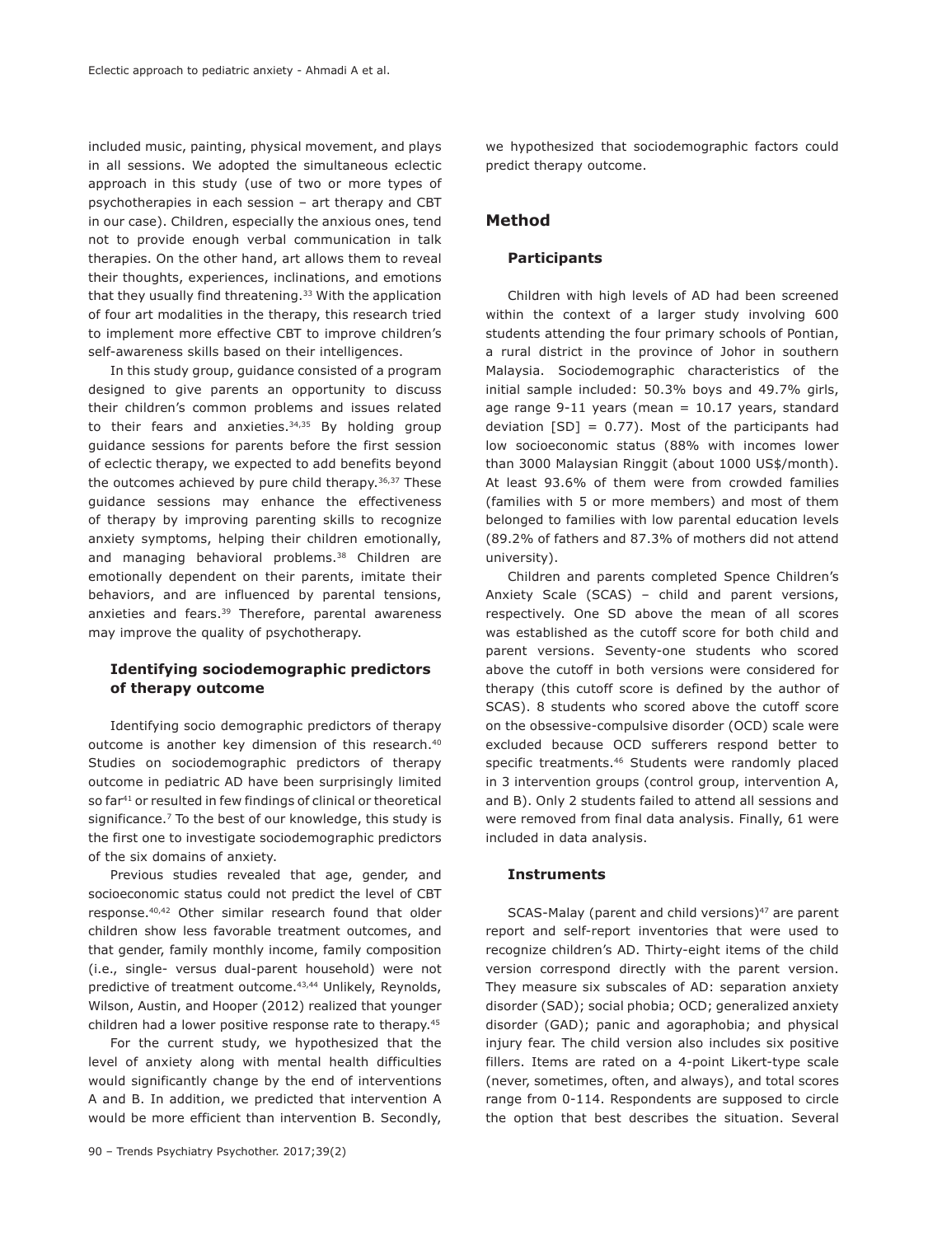included music, painting, physical movement, and plays in all sessions. We adopted the simultaneous eclectic approach in this study (use of two or more types of psychotherapies in each session – art therapy and CBT in our case). Children, especially the anxious ones, tend not to provide enough verbal communication in talk therapies. On the other hand, art allows them to reveal their thoughts, experiences, inclinations, and emotions that they usually find threatening.<sup>33</sup> With the application of four art modalities in the therapy, this research tried to implement more effective CBT to improve children's self-awareness skills based on their intelligences.

In this study group, guidance consisted of a program designed to give parents an opportunity to discuss their children's common problems and issues related to their fears and anxieties.<sup>34,35</sup> By holding group guidance sessions for parents before the first session of eclectic therapy, we expected to add benefits beyond the outcomes achieved by pure child therapy.<sup>36,37</sup> These guidance sessions may enhance the effectiveness of therapy by improving parenting skills to recognize anxiety symptoms, helping their children emotionally, and managing behavioral problems.<sup>38</sup> Children are emotionally dependent on their parents, imitate their behaviors, and are influenced by parental tensions, anxieties and fears.39 Therefore, parental awareness may improve the quality of psychotherapy.

#### **Identifying sociodemographic predictors of therapy outcome**

Identifying socio demographic predictors of therapy outcome is another key dimension of this research.<sup>40</sup> Studies on sociodemographic predictors of therapy outcome in pediatric AD have been surprisingly limited so far<sup>41</sup> or resulted in few findings of clinical or theoretical significance.<sup>7</sup> To the best of our knowledge, this study is the first one to investigate sociodemographic predictors of the six domains of anxiety.

Previous studies revealed that age, gender, and socioeconomic status could not predict the level of CBT response.40,42 Other similar research found that older children show less favorable treatment outcomes, and that gender, family monthly income, family composition (i.e., single- versus dual-parent household) were not predictive of treatment outcome.43,44 Unlikely, Reynolds, Wilson, Austin, and Hooper (2012) realized that younger children had a lower positive response rate to therapy.45

For the current study, we hypothesized that the level of anxiety along with mental health difficulties would significantly change by the end of interventions A and B. In addition, we predicted that intervention A would be more efficient than intervention B. Secondly, we hypothesized that sociodemographic factors could predict therapy outcome.

#### **Method**

#### **Participants**

Children with high levels of AD had been screened within the context of a larger study involving 600 students attending the four primary schools of Pontian, a rural district in the province of Johor in southern Malaysia. Sociodemographic characteristics of the initial sample included: 50.3% boys and 49.7% girls, age range 9-11 years (mean  $= 10.17$  years, standard deviation  $[SD] = 0.77$ ). Most of the participants had low socioeconomic status (88% with incomes lower than 3000 Malaysian Ringgit (about 1000 US\$/month). At least 93.6% of them were from crowded families (families with 5 or more members) and most of them belonged to families with low parental education levels (89.2% of fathers and 87.3% of mothers did not attend university).

Children and parents completed Spence Children's Anxiety Scale (SCAS) – child and parent versions, respectively. One SD above the mean of all scores was established as the cutoff score for both child and parent versions. Seventy-one students who scored above the cutoff in both versions were considered for therapy (this cutoff score is defined by the author of SCAS). 8 students who scored above the cutoff score on the obsessive-compulsive disorder (OCD) scale were excluded because OCD sufferers respond better to specific treatments.46 Students were randomly placed in 3 intervention groups (control group, intervention A, and B). Only 2 students failed to attend all sessions and were removed from final data analysis. Finally, 61 were included in data analysis.

#### **Instruments**

SCAS-Malay (parent and child versions)<sup>47</sup> are parent report and self-report inventories that were used to recognize children's AD. Thirty-eight items of the child version correspond directly with the parent version. They measure six subscales of AD: separation anxiety disorder (SAD); social phobia; OCD; generalized anxiety disorder (GAD); panic and agoraphobia; and physical injury fear. The child version also includes six positive fillers. Items are rated on a 4-point Likert-type scale (never, sometimes, often, and always), and total scores range from 0-114. Respondents are supposed to circle the option that best describes the situation. Several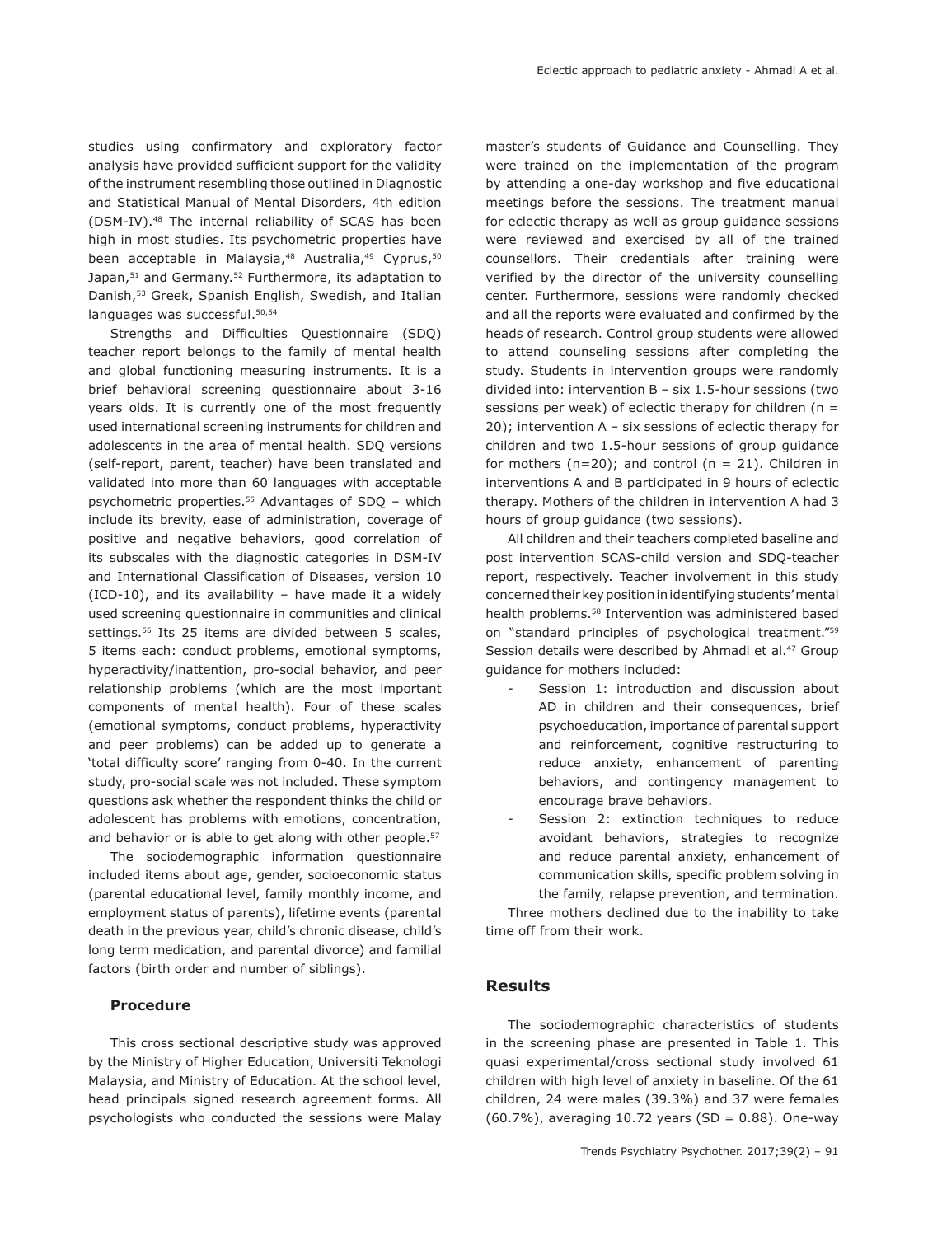studies using confirmatory and exploratory factor analysis have provided sufficient support for the validity of the instrument resembling those outlined in Diagnostic and Statistical Manual of Mental Disorders, 4th edition (DSM-IV).48 The internal reliability of SCAS has been high in most studies. Its psychometric properties have been acceptable in Malaysia,<sup>48</sup> Australia,<sup>49</sup> Cyprus,<sup>50</sup> Japan,<sup>51</sup> and Germany.<sup>52</sup> Furthermore, its adaptation to Danish,53 Greek, Spanish English, Swedish, and Italian languages was successful.<sup>50,54</sup>

Strengths and Difficulties Questionnaire (SDQ) teacher report belongs to the family of mental health and global functioning measuring instruments. It is a brief behavioral screening questionnaire about 3-16 years olds. It is currently one of the most frequently used international screening instruments for children and adolescents in the area of mental health. SDQ versions (self-report, parent, teacher) have been translated and validated into more than 60 languages with acceptable psychometric properties.55 Advantages of SDQ – which include its brevity, ease of administration, coverage of positive and negative behaviors, good correlation of its subscales with the diagnostic categories in DSM-IV and International Classification of Diseases, version 10 (ICD-10), and its availability – have made it a widely used screening questionnaire in communities and clinical settings.<sup>56</sup> Its 25 items are divided between 5 scales, 5 items each: conduct problems, emotional symptoms, hyperactivity/inattention, pro-social behavior, and peer relationship problems (which are the most important components of mental health). Four of these scales (emotional symptoms, conduct problems, hyperactivity and peer problems) can be added up to generate a 'total difficulty score' ranging from 0-40. In the current study, pro-social scale was not included. These symptom questions ask whether the respondent thinks the child or adolescent has problems with emotions, concentration, and behavior or is able to get along with other people.<sup>57</sup>

The sociodemographic information questionnaire included items about age, gender, socioeconomic status (parental educational level, family monthly income, and employment status of parents), lifetime events (parental death in the previous year, child's chronic disease, child's long term medication, and parental divorce) and familial factors (birth order and number of siblings).

#### **Procedure**

This cross sectional descriptive study was approved by the Ministry of Higher Education, Universiti Teknologi Malaysia, and Ministry of Education. At the school level, head principals signed research agreement forms. All psychologists who conducted the sessions were Malay master's students of Guidance and Counselling. They were trained on the implementation of the program by attending a one-day workshop and five educational meetings before the sessions. The treatment manual for eclectic therapy as well as group guidance sessions were reviewed and exercised by all of the trained counsellors. Their credentials after training were verified by the director of the university counselling center. Furthermore, sessions were randomly checked and all the reports were evaluated and confirmed by the heads of research. Control group students were allowed to attend counseling sessions after completing the study. Students in intervention groups were randomly divided into: intervention B – six 1.5-hour sessions (two sessions per week) of eclectic therapy for children ( $n =$ 20); intervention A – six sessions of eclectic therapy for children and two 1.5-hour sessions of group guidance for mothers ( $n=20$ ); and control ( $n = 21$ ). Children in interventions A and B participated in 9 hours of eclectic therapy. Mothers of the children in intervention A had 3 hours of group guidance (two sessions).

All children and their teachers completed baseline and post intervention SCAS-child version and SDQ-teacher report, respectively. Teacher involvement in this study concerned their key position in identifying students' mental health problems.58 Intervention was administered based on "standard principles of psychological treatment."59 Session details were described by Ahmadi et al.<sup>47</sup> Group guidance for mothers included:

- Session 1: introduction and discussion about AD in children and their consequences, brief psychoeducation, importance of parental support and reinforcement, cognitive restructuring to reduce anxiety, enhancement of parenting behaviors, and contingency management to encourage brave behaviors.
- Session 2: extinction techniques to reduce avoidant behaviors, strategies to recognize and reduce parental anxiety, enhancement of communication skills, specific problem solving in the family, relapse prevention, and termination.

Three mothers declined due to the inability to take time off from their work.

#### **Results**

The sociodemographic characteristics of students in the screening phase are presented in Table 1. This quasi experimental/cross sectional study involved 61 children with high level of anxiety in baseline. Of the 61 children, 24 were males (39.3%) and 37 were females  $(60.7%)$ , averaging 10.72 years  $(SD = 0.88)$ . One-way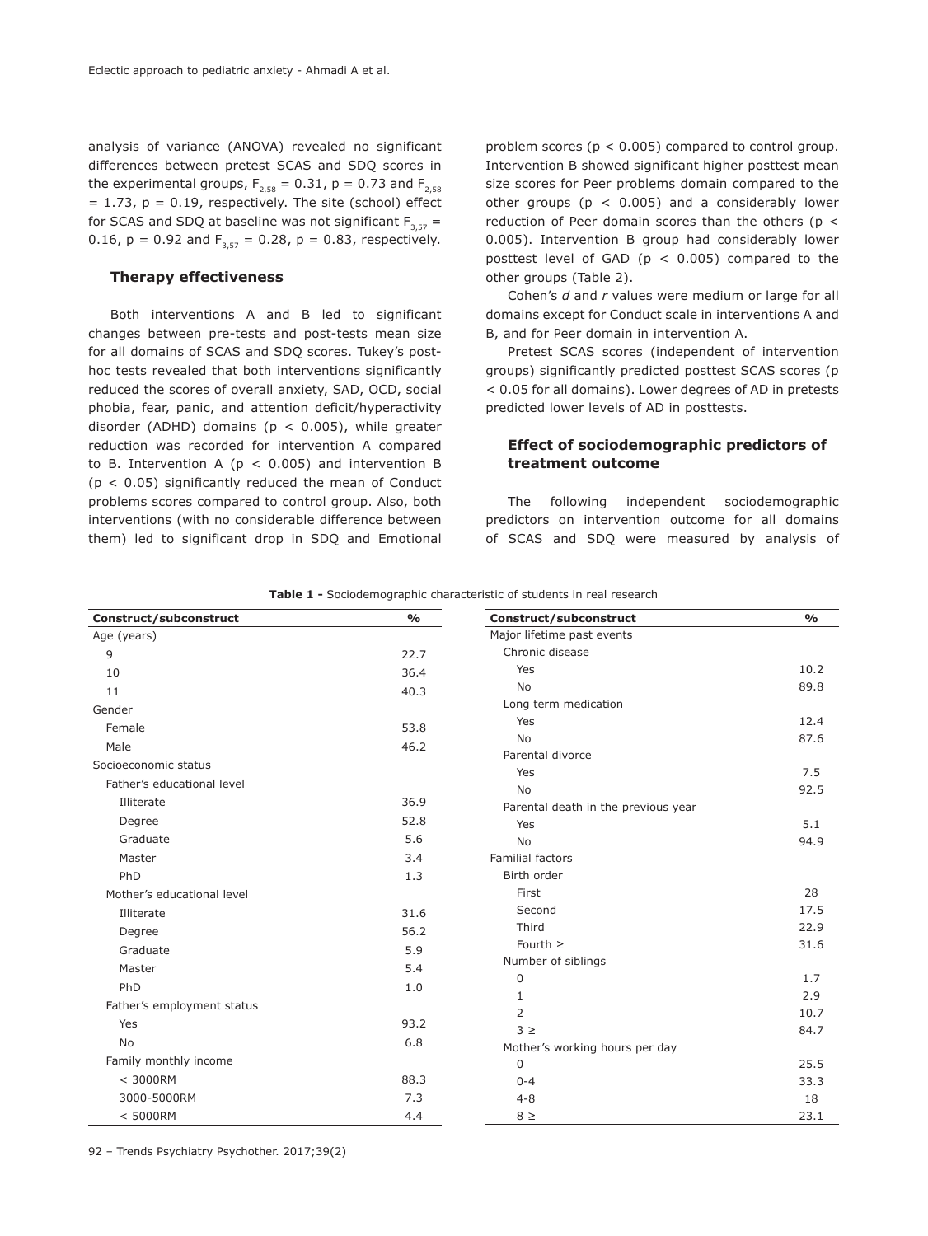analysis of variance (ANOVA) revealed no significant differences between pretest SCAS and SDQ scores in the experimental groups,  $F_{2,58} = 0.31$ , p = 0.73 and  $F_{2,58}$  $= 1.73$ ,  $p = 0.19$ , respectively. The site (school) effect for SCAS and SDQ at baseline was not significant  $F_{3,57}$  = 0.16,  $p = 0.92$  and  $F_{3.57} = 0.28$ ,  $p = 0.83$ , respectively.

#### **Therapy effectiveness**

Both interventions A and B led to significant changes between pre-tests and post-tests mean size for all domains of SCAS and SDQ scores. Tukey's posthoc tests revealed that both interventions significantly reduced the scores of overall anxiety, SAD, OCD, social phobia, fear, panic, and attention deficit/hyperactivity disorder (ADHD) domains ( $p < 0.005$ ), while greater reduction was recorded for intervention A compared to B. Intervention A ( $p < 0.005$ ) and intervention B  $(p < 0.05)$  significantly reduced the mean of Conduct problems scores compared to control group. Also, both interventions (with no considerable difference between them) led to significant drop in SDQ and Emotional problem scores ( $p < 0.005$ ) compared to control group. Intervention B showed significant higher posttest mean size scores for Peer problems domain compared to the other groups ( $p < 0.005$ ) and a considerably lower reduction of Peer domain scores than the others ( $p <$ 0.005). Intervention B group had considerably lower posttest level of GAD ( $p < 0.005$ ) compared to the other groups (Table 2).

Cohen's *d* and *r* values were medium or large for all domains except for Conduct scale in interventions A and B, and for Peer domain in intervention A.

Pretest SCAS scores (independent of intervention groups) significantly predicted posttest SCAS scores (p < 0.05 for all domains). Lower degrees of AD in pretests predicted lower levels of AD in posttests.

#### **Effect of sociodemographic predictors of treatment outcome**

The following independent sociodemographic predictors on intervention outcome for all domains of SCAS and SDQ were measured by analysis of

| Construct/subconstruct<br>$\frac{0}{0}$ |      | Construct/subconstruct              | $\frac{0}{0}$ |
|-----------------------------------------|------|-------------------------------------|---------------|
| Age (years)                             |      | Major lifetime past events          |               |
| 9                                       | 22.7 | Chronic disease                     |               |
| 10                                      | 36.4 | Yes                                 | 10.2          |
| 11                                      | 40.3 | <b>No</b>                           | 89.8          |
| Gender                                  |      | Long term medication                |               |
| Female                                  | 53.8 | Yes                                 | 12.4          |
| Male                                    | 46.2 | <b>No</b>                           | 87.6          |
| Socioeconomic status                    |      | Parental divorce                    |               |
| Father's educational level              |      | Yes                                 | 7.5           |
| Illiterate                              | 36.9 | <b>No</b>                           | 92.5          |
|                                         | 52.8 | Parental death in the previous year |               |
| Degree                                  |      | Yes                                 | 5.1           |
| Graduate                                | 5.6  | <b>No</b>                           | 94.9          |
| Master                                  | 3.4  | <b>Familial factors</b>             |               |
| PhD                                     | 1.3  | Birth order                         |               |
| Mother's educational level              |      | First                               | 28            |
| Illiterate                              | 31.6 | Second                              | 17.5          |
| Degree                                  | 56.2 | Third                               | 22.9          |
| Graduate                                | 5.9  | Fourth $\geq$                       | 31.6          |
| Master                                  | 5.4  | Number of siblings                  |               |
| PhD                                     | 1.0  | 0                                   | 1.7           |
| Father's employment status              |      | $\mathbf{1}$                        | 2.9           |
| Yes                                     | 93.2 | 2                                   | 10.7          |
| <b>No</b>                               |      | $3 \geq$                            | 84.7          |
|                                         | 6.8  | Mother's working hours per day      |               |
| Family monthly income                   |      | 0                                   | 25.5          |
| < 3000RM                                | 88.3 | $0 - 4$                             | 33.3          |
| 3000-5000RM                             | 7.3  | $4 - 8$                             | 18            |
| $< 5000$ RM                             | 4.4  | $8 \geq$                            | 23.1          |

**Table 1 -** Sociodemographic characteristic of students in real research

92 – Trends Psychiatry Psychother. 2017;39(2)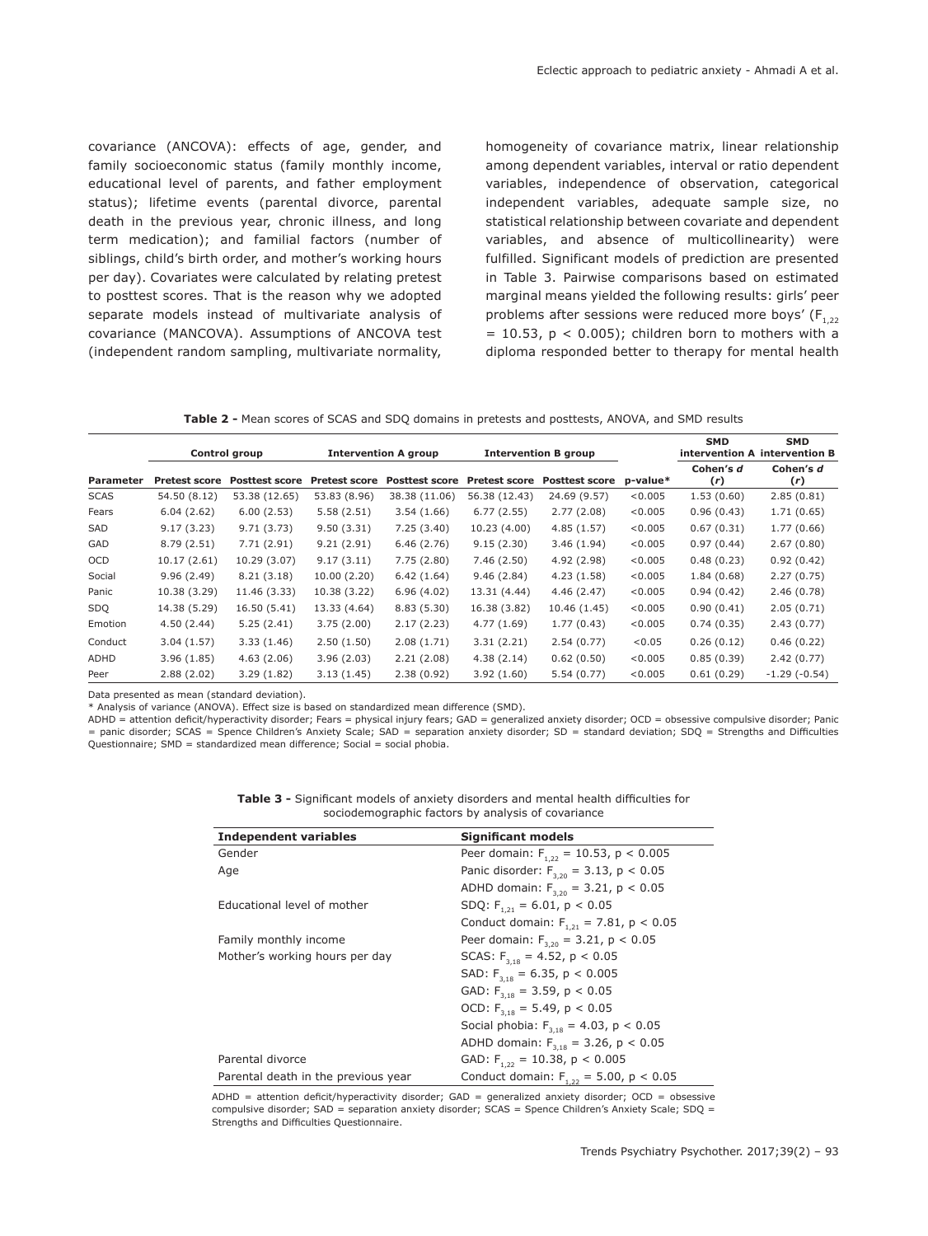covariance (ANCOVA): effects of age, gender, and family socioeconomic status (family monthly income, educational level of parents, and father employment status); lifetime events (parental divorce, parental death in the previous year, chronic illness, and long term medication); and familial factors (number of siblings, child's birth order, and mother's working hours per day). Covariates were calculated by relating pretest to posttest scores. That is the reason why we adopted separate models instead of multivariate analysis of covariance (MANCOVA). Assumptions of ANCOVA test (independent random sampling, multivariate normality, homogeneity of covariance matrix, linear relationship among dependent variables, interval or ratio dependent variables, independence of observation, categorical independent variables, adequate sample size, no statistical relationship between covariate and dependent variables, and absence of multicollinearity) were fulfilled. Significant models of prediction are presented in Table 3. Pairwise comparisons based on estimated marginal means yielded the following results: girls' peer problems after sessions were reduced more boys' ( $F_{1,22}$ )  $= 10.53$ ,  $p < 0.005$ ); children born to mothers with a diploma responded better to therapy for mental health

**Table 2 -** Mean scores of SCAS and SDQ domains in pretests and posttests, ANOVA, and SMD results

|                  |                      | Control group         |                      | <b>Intervention A group</b> |                      | <b>Intervention B group</b> |                | <b>SMD</b>       | <b>SMD</b><br>intervention A intervention B |
|------------------|----------------------|-----------------------|----------------------|-----------------------------|----------------------|-----------------------------|----------------|------------------|---------------------------------------------|
| <b>Parameter</b> | <b>Pretest score</b> | <b>Posttest score</b> | <b>Pretest score</b> | <b>Posttest score</b>       | <b>Pretest score</b> | <b>Posttest score</b>       | $p$ -value $*$ | Cohen's d<br>(r) | Cohen's d<br>(r)                            |
| <b>SCAS</b>      | 54.50 (8.12)         | 53.38 (12.65)         | 53.83 (8.96)         | 38.38 (11.06)               | 56.38 (12.43)        | 24.69 (9.57)                | < 0.005        | 1.53(0.60)       | 2.85(0.81)                                  |
| Fears            | 6.04(2.62)           | 6.00(2.53)            | 5.58(2.51)           | 3.54(1.66)                  | 6.77(2.55)           | 2.77(2.08)                  | < 0.005        | 0.96(0.43)       | 1.71(0.65)                                  |
| <b>SAD</b>       | 9.17(3.23)           | 9.71(3.73)            | 9.50(3.31)           | 7.25(3.40)                  | 10.23 (4.00)         | 4.85(1.57)                  | < 0.005        | 0.67(0.31)       | 1.77(0.66)                                  |
| GAD              | 8.79(2.51)           | 7.71 (2.91)           | 9.21(2.91)           | 6.46 (2.76)                 | 9.15(2.30)           | 3.46 (1.94)                 | < 0.005        | 0.97(0.44)       | 2.67(0.80)                                  |
| <b>OCD</b>       | 10.17(2.61)          | 10.29 (3.07)          | 9.17(3.11)           | 7.75(2.80)                  | 7.46 (2.50)          | 4.92 (2.98)                 | < 0.005        | 0.48(0.23)       | 0.92(0.42)                                  |
| Social           | 9.96(2.49)           | 8.21(3.18)            | 10.00(2.20)          | 6.42(1.64)                  | 9.46(2.84)           | 4.23(1.58)                  | < 0.005        | 1.84(0.68)       | 2.27(0.75)                                  |
| Panic            | 10.38 (3.29)         | 11.46 (3.33)          | 10.38 (3.22)         | 6.96(4.02)                  | 13.31 (4.44)         | 4.46 (2.47)                 | < 0.005        | 0.94(0.42)       | 2.46(0.78)                                  |
| <b>SDQ</b>       | 14.38 (5.29)         | 16.50 (5.41)          | 13.33 (4.64)         | 8.83(5.30)                  | 16.38 (3.82)         | 10.46 (1.45)                | < 0.005        | 0.90(0.41)       | 2.05(0.71)                                  |
| Emotion          | 4.50 (2.44)          | 5.25(2.41)            | 3.75(2.00)           | 2.17(2.23)                  | 4.77(1.69)           | 1.77(0.43)                  | < 0.005        | 0.74(0.35)       | 2.43(0.77)                                  |
| Conduct          | 3.04(1.57)           | 3.33(1.46)            | 2.50(1.50)           | 2.08(1.71)                  | 3.31(2.21)           | 2.54(0.77)                  | < 0.05         | 0.26(0.12)       | 0.46(0.22)                                  |
| <b>ADHD</b>      | 3.96(1.85)           | 4.63(2.06)            | 3.96(2.03)           | 2.21(2.08)                  | 4.38(2.14)           | 0.62(0.50)                  | < 0.005        | 0.85(0.39)       | 2.42(0.77)                                  |
| Peer             | 2.88(2.02)           | 3.29(1.82)            | 3.13(1.45)           | 2.38(0.92)                  | 3.92(1.60)           | 5.54(0.77)                  | < 0.005        | 0.61(0.29)       | $-1.29(-0.54)$                              |

Data presented as mean (standard deviation).

\* Analysis of variance (ANOVA). Effect size is based on standardized mean difference (SMD).

ADHD = attention deficit/hyperactivity disorder; Fears = physical injury fears; GAD = generalized anxiety disorder; OCD = obsessive compulsive disorder; Panic = panic disorder; SCAS = Spence Children's Anxiety Scale; SAD = separation anxiety disorder; SD = standard deviation; SDQ = Strengths and Difficulties Questionnaire; SMD = standardized mean difference; Social = social phobia.

| Table 3 - Significant models of anxiety disorders and mental health difficulties for |  |
|--------------------------------------------------------------------------------------|--|
| sociodemographic factors by analysis of covariance                                   |  |

| <b>Independent variables</b>        | <b>Significant models</b>                      |
|-------------------------------------|------------------------------------------------|
| Gender                              | Peer domain: $F_{1,22} = 10.53$ , $p < 0.005$  |
| Age                                 | Panic disorder: $F_{3,20} = 3.13$ , p < 0.05   |
|                                     | ADHD domain: $F_{3,20} = 3.21$ , $p < 0.05$    |
| Educational level of mother         | SDQ: $F_{1,21} = 6.01$ , $p < 0.05$            |
|                                     | Conduct domain: $F_{1,21} = 7.81$ , $p < 0.05$ |
| Family monthly income               | Peer domain: $F_{3,20} = 3.21$ , $p < 0.05$    |
| Mother's working hours per day      | SCAS: $F_{3,18} = 4.52$ , $p < 0.05$           |
|                                     | SAD: $F_{3.18} = 6.35$ , p < 0.005             |
|                                     | GAD: $F_{3,18} = 3.59$ , p < 0.05              |
|                                     | OCD: $F_{3.18} = 5.49$ , p < 0.05              |
|                                     | Social phobia: $F_{3,18} = 4.03$ , p < 0.05    |
|                                     | ADHD domain: $F_{3.18} = 3.26$ , $p < 0.05$    |
| Parental divorce                    | GAD: $F_{1,22} = 10.38$ , $p < 0.005$          |
| Parental death in the previous year | Conduct domain: $F_{1,22} = 5.00$ , $p < 0.05$ |

ADHD = attention deficit/hyperactivity disorder; GAD = generalized anxiety disorder; OCD = obsessive compulsive disorder; SAD = separation anxiety disorder; SCAS = Spence Children's Anxiety Scale; SDQ = Strengths and Difficulties Questionnaire.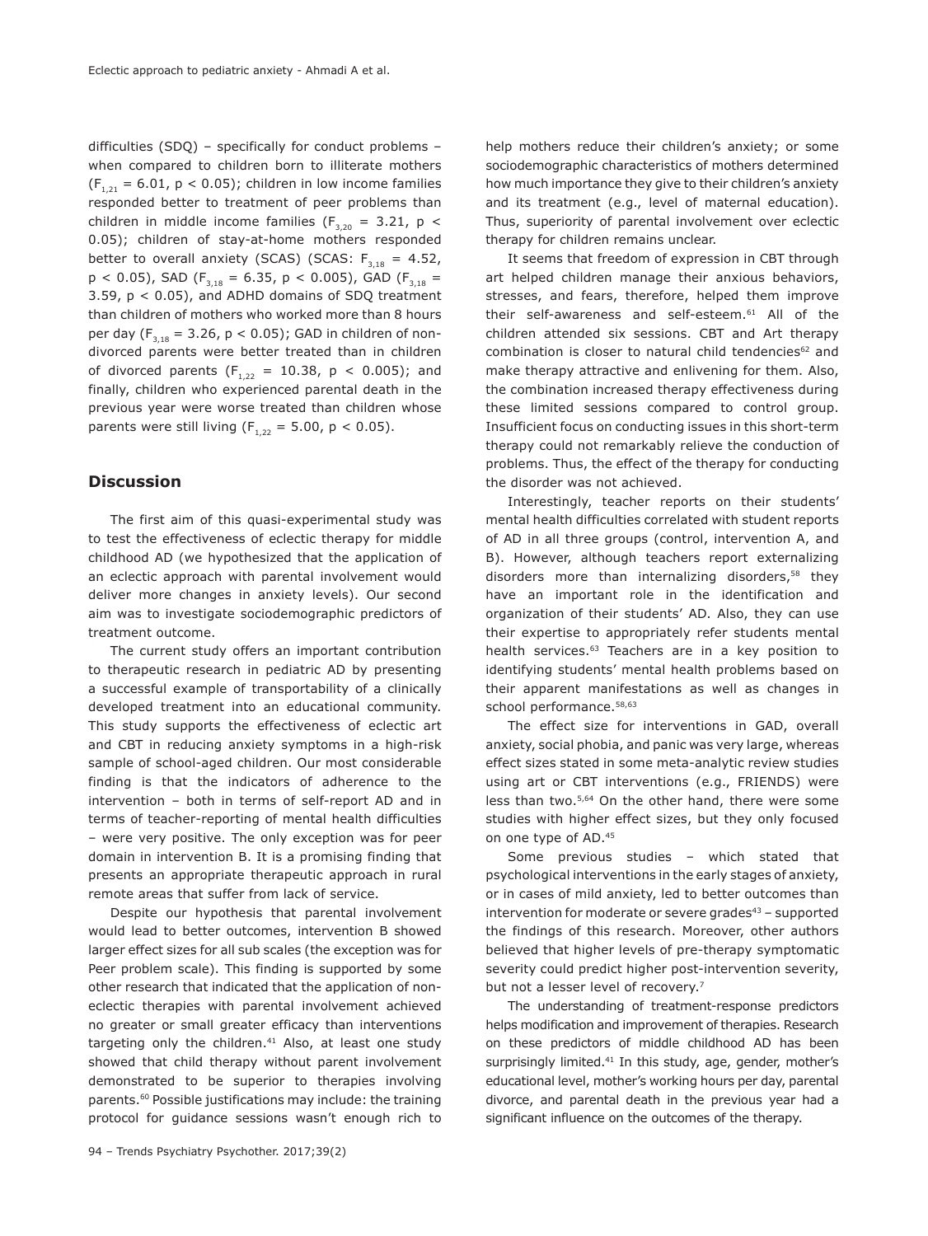difficulties (SDQ) – specifically for conduct problems – when compared to children born to illiterate mothers  $(F_{1,21} = 6.01, p < 0.05)$ ; children in low income families responded better to treatment of peer problems than children in middle income families ( $F_{3,20}$  = 3.21, p < 0.05); children of stay-at-home mothers responded better to overall anxiety (SCAS) (SCAS:  $F_{3,18} = 4.52$ ,  $p$  < 0.05), SAD (F<sub>3,18</sub> = 6.35,  $p$  < 0.005), GAD (F<sub>3,18</sub> = 3.59, p < 0.05), and ADHD domains of SDQ treatment than children of mothers who worked more than 8 hours per day ( $F_{3,18}$  = 3.26, p < 0.05); GAD in children of nondivorced parents were better treated than in children of divorced parents ( $F_{1,22}$  = 10.38, p < 0.005); and finally, children who experienced parental death in the previous year were worse treated than children whose parents were still living ( $F_{1,22} = 5.00$ ,  $p < 0.05$ ).

#### **Discussion**

The first aim of this quasi-experimental study was to test the effectiveness of eclectic therapy for middle childhood AD (we hypothesized that the application of an eclectic approach with parental involvement would deliver more changes in anxiety levels). Our second aim was to investigate sociodemographic predictors of treatment outcome.

The current study offers an important contribution to therapeutic research in pediatric AD by presenting a successful example of transportability of a clinically developed treatment into an educational community. This study supports the effectiveness of eclectic art and CBT in reducing anxiety symptoms in a high-risk sample of school-aged children. Our most considerable finding is that the indicators of adherence to the intervention – both in terms of self-report AD and in terms of teacher-reporting of mental health difficulties – were very positive. The only exception was for peer domain in intervention B. It is a promising finding that presents an appropriate therapeutic approach in rural remote areas that suffer from lack of service.

Despite our hypothesis that parental involvement would lead to better outcomes, intervention B showed larger effect sizes for all sub scales (the exception was for Peer problem scale). This finding is supported by some other research that indicated that the application of noneclectic therapies with parental involvement achieved no greater or small greater efficacy than interventions targeting only the children.<sup>41</sup> Also, at least one study showed that child therapy without parent involvement demonstrated to be superior to therapies involving parents.60 Possible justifications may include: the training protocol for guidance sessions wasn't enough rich to

help mothers reduce their children's anxiety; or some sociodemographic characteristics of mothers determined how much importance they give to their children's anxiety and its treatment (e.g., level of maternal education). Thus, superiority of parental involvement over eclectic therapy for children remains unclear.

It seems that freedom of expression in CBT through art helped children manage their anxious behaviors, stresses, and fears, therefore, helped them improve their self-awareness and self-esteem.61 All of the children attended six sessions. CBT and Art therapy combination is closer to natural child tendencies<sup>62</sup> and make therapy attractive and enlivening for them. Also, the combination increased therapy effectiveness during these limited sessions compared to control group. Insufficient focus on conducting issues in this short-term therapy could not remarkably relieve the conduction of problems. Thus, the effect of the therapy for conducting the disorder was not achieved.

Interestingly, teacher reports on their students' mental health difficulties correlated with student reports of AD in all three groups (control, intervention A, and B). However, although teachers report externalizing disorders more than internalizing disorders,<sup>58</sup> they have an important role in the identification and organization of their students' AD. Also, they can use their expertise to appropriately refer students mental health services.<sup>63</sup> Teachers are in a key position to identifying students' mental health problems based on their apparent manifestations as well as changes in school performance.<sup>58,63</sup>

The effect size for interventions in GAD, overall anxiety, social phobia, and panic was very large, whereas effect sizes stated in some meta-analytic review studies using art or CBT interventions (e.g., FRIENDS) were less than two.5,64 On the other hand, there were some studies with higher effect sizes, but they only focused on one type of AD.45

Some previous studies – which stated that psychological interventions in the early stages of anxiety, or in cases of mild anxiety, led to better outcomes than intervention for moderate or severe grades $43$  – supported the findings of this research. Moreover, other authors believed that higher levels of pre-therapy symptomatic severity could predict higher post-intervention severity, but not a lesser level of recovery.<sup>7</sup>

The understanding of treatment-response predictors helps modification and improvement of therapies. Research on these predictors of middle childhood AD has been surprisingly limited.<sup>41</sup> In this study, age, gender, mother's educational level, mother's working hours per day, parental divorce, and parental death in the previous year had a significant influence on the outcomes of the therapy.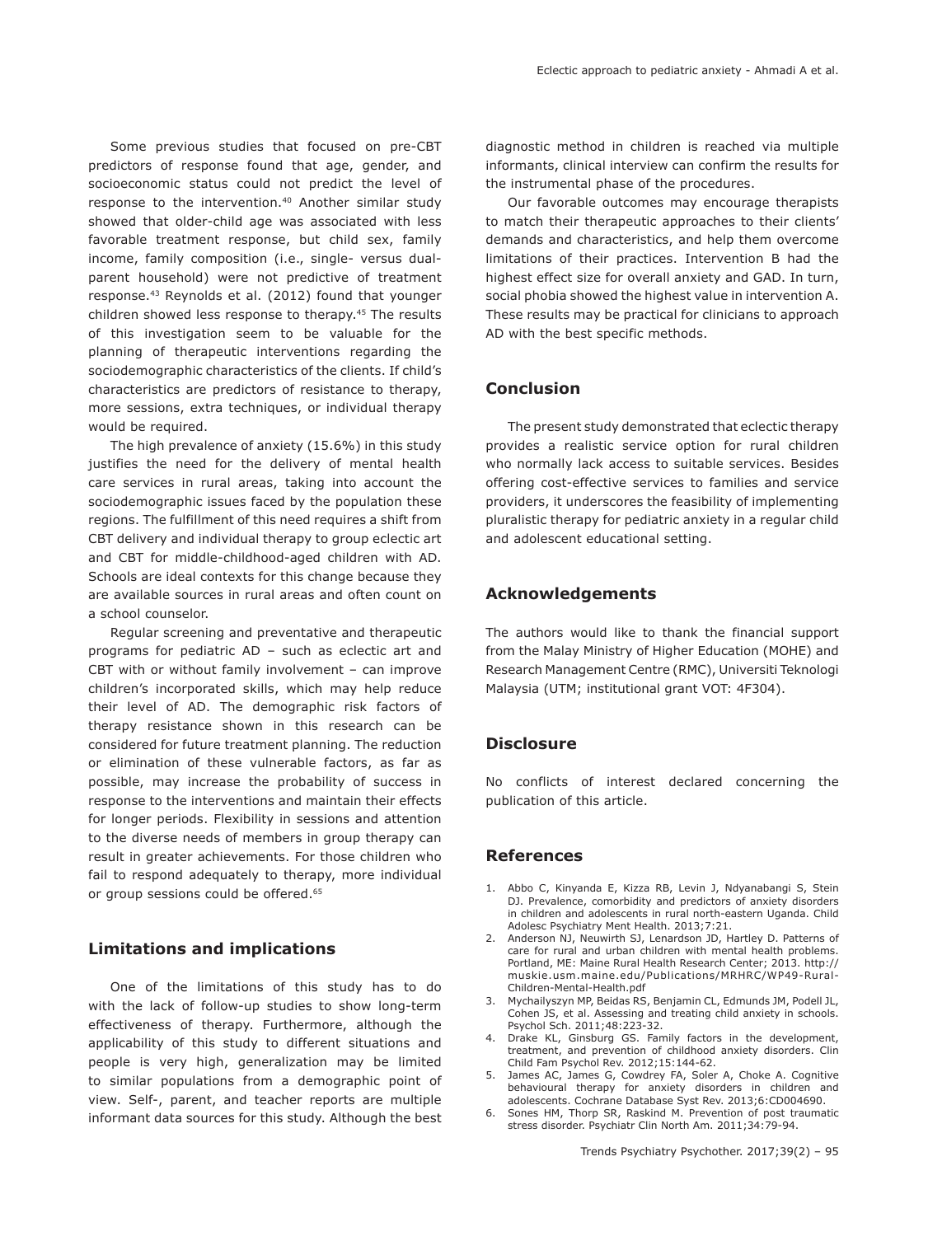Some previous studies that focused on pre-CBT predictors of response found that age, gender, and socioeconomic status could not predict the level of response to the intervention.<sup>40</sup> Another similar study showed that older-child age was associated with less favorable treatment response, but child sex, family income, family composition (i.e., single- versus dualparent household) were not predictive of treatment response.43 Reynolds et al. (2012) found that younger children showed less response to therapy.<sup>45</sup> The results of this investigation seem to be valuable for the planning of therapeutic interventions regarding the sociodemographic characteristics of the clients. If child's characteristics are predictors of resistance to therapy, more sessions, extra techniques, or individual therapy would be required.

The high prevalence of anxiety (15.6%) in this study justifies the need for the delivery of mental health care services in rural areas, taking into account the sociodemographic issues faced by the population these regions. The fulfillment of this need requires a shift from CBT delivery and individual therapy to group eclectic art and CBT for middle-childhood-aged children with AD. Schools are ideal contexts for this change because they are available sources in rural areas and often count on a school counselor.

Regular screening and preventative and therapeutic programs for pediatric AD – such as eclectic art and CBT with or without family involvement – can improve children's incorporated skills, which may help reduce their level of AD. The demographic risk factors of therapy resistance shown in this research can be considered for future treatment planning. The reduction or elimination of these vulnerable factors, as far as possible, may increase the probability of success in response to the interventions and maintain their effects for longer periods. Flexibility in sessions and attention to the diverse needs of members in group therapy can result in greater achievements. For those children who fail to respond adequately to therapy, more individual or group sessions could be offered.<sup>65</sup>

#### **Limitations and implications**

One of the limitations of this study has to do with the lack of follow-up studies to show long-term effectiveness of therapy. Furthermore, although the applicability of this study to different situations and people is very high, generalization may be limited to similar populations from a demographic point of view. Self-, parent, and teacher reports are multiple informant data sources for this study. Although the best diagnostic method in children is reached via multiple informants, clinical interview can confirm the results for the instrumental phase of the procedures.

Our favorable outcomes may encourage therapists to match their therapeutic approaches to their clients' demands and characteristics, and help them overcome limitations of their practices. Intervention B had the highest effect size for overall anxiety and GAD. In turn, social phobia showed the highest value in intervention A. These results may be practical for clinicians to approach AD with the best specific methods.

#### **Conclusion**

The present study demonstrated that eclectic therapy provides a realistic service option for rural children who normally lack access to suitable services. Besides offering cost-effective services to families and service providers, it underscores the feasibility of implementing pluralistic therapy for pediatric anxiety in a regular child and adolescent educational setting.

#### **Acknowledgements**

The authors would like to thank the financial support from the Malay Ministry of Higher Education (MOHE) and Research Management Centre (RMC), Universiti Teknologi Malaysia (UTM; institutional grant VOT: 4F304).

#### **Disclosure**

No conflicts of interest declared concerning the publication of this article.

#### **References**

- 1. Abbo C, Kinyanda E, Kizza RB, Levin J, Ndyanabangi S, Stein DJ. Prevalence, comorbidity and predictors of anxiety disorders in children and adolescents in rural north-eastern Uganda. Child Adolesc Psychiatry Ment Health. 2013;7:21.
- 2. Anderson NJ, Neuwirth SJ, Lenardson JD, Hartley D. Patterns of care for rural and urban children with mental health problems. Portland, ME: Maine Rural Health Research Center; 2013. http:// muskie.usm.maine.edu/Publications/MRHRC/WP49-Rural-Children-Mental-Health.pdf
- 3. Mychailyszyn MP, Beidas RS, Benjamin CL, Edmunds JM, Podell JL, Cohen JS, et al. Assessing and treating child anxiety in schools. Psychol Sch. 2011;48:223-32.
- 4. Drake KL, Ginsburg GS. Family factors in the development, treatment, and prevention of childhood anxiety disorders. Clin Child Fam Psychol Rev. 2012;15:144-62.
- 5. James AC, James G, Cowdrey FA, Soler A, Choke A. Cognitive behavioural therapy for anxiety disorders in children and adolescents. Cochrane Database Syst Rev. 2013;6:CD004690.
- 6. Sones HM, Thorp SR, Raskind M. Prevention of post traumatic stress disorder. Psychiatr Clin North Am. 2011;34:79-94.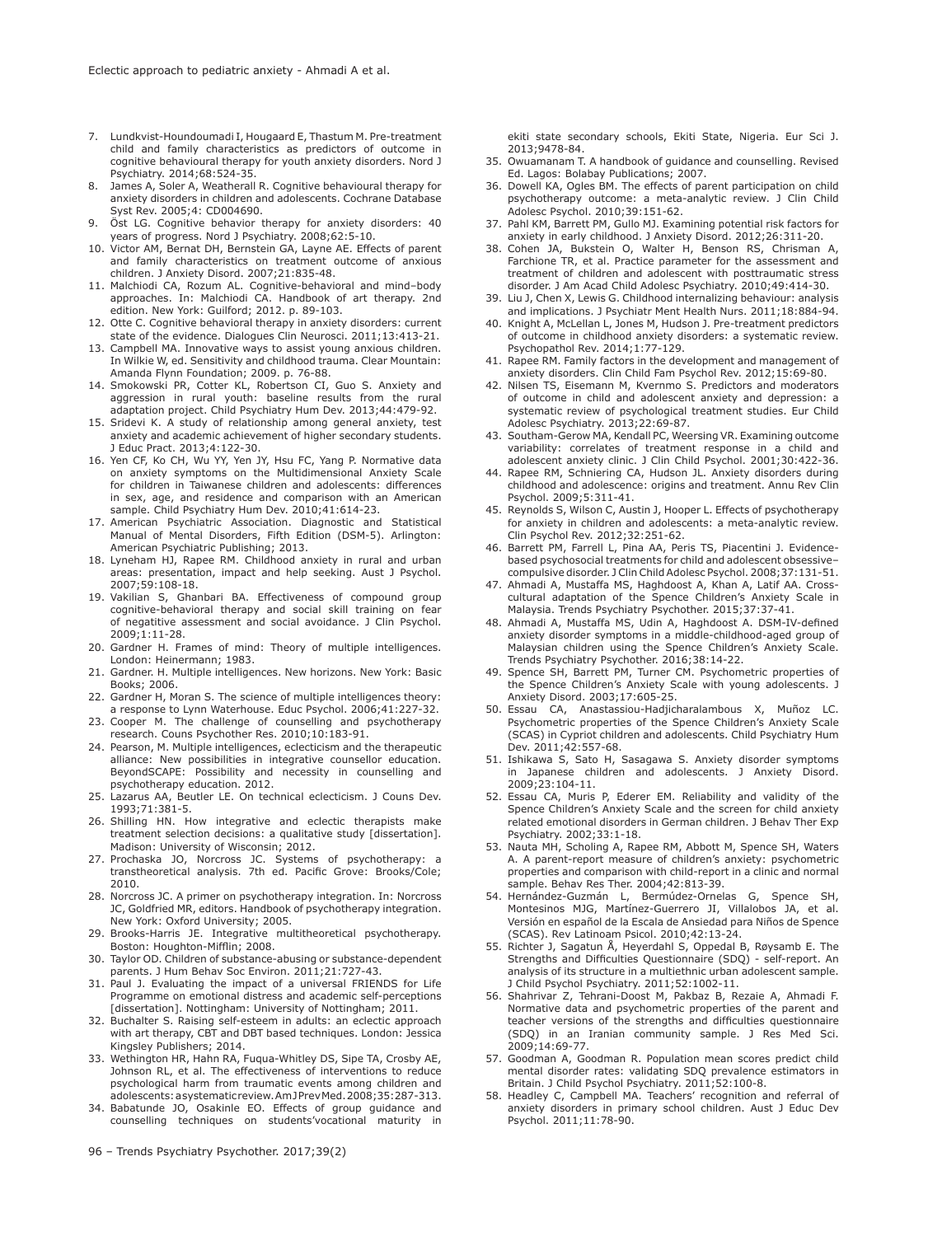- 7. Lundkvist-Houndoumadi I, Hougaard E, Thastum M. Pre-treatment child and family characteristics as predictors of outcome in cognitive behavioural therapy for youth anxiety disorders. Nord J Psychiatry. 2014;68:524-35.
- 8. James A, Soler A, Weatherall R. Cognitive behavioural therapy for anxiety disorders in children and adolescents. Cochrane Database Syst Rev. 2005;4: CD004690.
- 9. Öst LG. Cognitive behavior therapy for anxiety disorders: 40 years of progress. Nord J Psychiatry. 2008;62:5-10.
- 10. Victor AM, Bernat DH, Bernstein GA, Layne AE. Effects of parent and family characteristics on treatment outcome of anxious children. J Anxiety Disord. 2007;21:835-48.
- 11. Malchiodi CA, Rozum AL. Cognitive-behavioral and mind–body approaches. In: Malchiodi CA. Handbook of art therapy. 2nd edition. New York: Guilford; 2012. p. 89-103.
- 12. Otte C. Cognitive behavioral therapy in anxiety disorders: current state of the evidence. Dialogues Clin Neurosci. 2011;13:413-21.
- 13. Campbell MA. Innovative ways to assist young anxious children. In Wilkie W, ed. Sensitivity and childhood trauma. Clear Mountain: Amanda Flynn Foundation; 2009. p. 76-88.
- 14. Smokowski PR, Cotter KL, Robertson CI, Guo S. Anxiety and aggression in rural youth: baseline results from the rural adaptation project. Child Psychiatry Hum Dev. 2013;44:479-92.
- 15. Sridevi K. A study of relationship among general anxiety, test anxiety and academic achievement of higher secondary students. J Educ Pract. 2013;4:122-30.
- 16. Yen CF, Ko CH, Wu YY, Yen JY, Hsu FC, Yang P. Normative data on anxiety symptoms on the Multidimensional Anxiety Scale for children in Taiwanese children and adolescents: differences in sex, age, and residence and comparison with an American sample. Child Psychiatry Hum Dev. 2010;41:614-23.
- 17. American Psychiatric Association. Diagnostic and Statistical Manual of Mental Disorders, Fifth Edition (DSM-5). Arlington: American Psychiatric Publishing; 2013.
- 18. Lyneham HJ, Rapee RM. Childhood anxiety in rural and urban areas: presentation, impact and help seeking. Aust J Psychol. 2007;59:108-18.
- 19. Vakilian S, Ghanbari BA. Effectiveness of compound group cognitive-behavioral therapy and social skill training on fear of negatitive assessment and social avoidance. J Clin Psychol. 2009;1:11-28.
- 20. Gardner H. Frames of mind: Theory of multiple intelligences. London: Heinermann; 1983.
- 21. Gardner. H. Multiple intelligences. New horizons. New York: Basic Books; 2006.
- 22. Gardner H, Moran S. The science of multiple intelligences theory: a response to Lynn Waterhouse. Educ Psychol. 2006;41:227-32.
- 23. Cooper M. The challenge of counselling and psychotherapy research. Couns Psychother Res. 2010;10:183-91.
- 24. Pearson, M. Multiple intelligences, eclecticism and the therapeutic alliance: New possibilities in integrative counsellor education. BeyondSCAPE: Possibility and necessity in counselling and psychotherapy education. 2012.
- 25. Lazarus AA, Beutler LE. On technical eclecticism. J Couns Dev. 1993;71:381-5.
- 26. Shilling HN. How integrative and eclectic therapists make treatment selection decisions: a qualitative study [dissertation]. Madison: University of Wisconsin; 2012.
- 27. Prochaska JO, Norcross JC. Systems of psychotherapy: a transtheoretical analysis. 7th ed. Pacific Grove: Brooks/Cole; 2010.
- 28. Norcross JC. A primer on psychotherapy integration. In: Norcross JC, Goldfried MR, editors. Handbook of psychotherapy integration. New York: Oxford University; 2005.
- 29. Brooks-Harris JE. Integrative multitheoretical psychotherapy. Boston: Houghton-Mifflin; 2008.
- 30. Taylor OD. Children of substance-abusing or substance-dependent parents. J Hum Behav Soc Environ. 2011;21:727-43.
- 31. Paul J. Evaluating the impact of a universal FRIENDS for Life Programme on emotional distress and academic self-perceptions [dissertation]. Nottingham: University of Nottingham; 2011.
- 32. Buchalter S. Raising self-esteem in adults: an eclectic approach with art therapy, CBT and DBT based techniques. London: Jessica Kingsley Publishers; 2014.
- 33. Wethington HR, Hahn RA, Fuqua-Whitley DS, Sipe TA, Crosby AE, Johnson RL, et al. The effectiveness of interventions to reduce psychological harm from traumatic events among children and adolescents: a systematic review. Am J Prev Med. 2008;35:287-313.
- 34. Babatunde JO, Osakinle EO. Effects of group guidance and counselling techniques on students'vocational maturity in
- 96 Trends Psychiatry Psychother. 2017;39(2)

ekiti state secondary schools, Ekiti State, Nigeria. Eur Sci J. 2013;9478-84.

- 35. Owuamanam T. A handbook of guidance and counselling. Revised Ed. Lagos: Bolabay Publications; 2007.
- 36. Dowell KA, Ogles BM. The effects of parent participation on child psychotherapy outcome: a meta-analytic review. J Clin Child Adolesc Psychol. 2010;39:151-62.
- 37. Pahl KM, Barrett PM, Gullo MJ. Examining potential risk factors for anxiety in early childhood. J Anxiety Disord. 2012;26:311-20.
- 38. Cohen JA, Bukstein O, Walter H, Benson RS, Chrisman A, Farchione TR, et al. Practice parameter for the assessment and treatment of children and adolescent with posttraumatic stress disorder. J Am Acad Child Adolesc Psychiatry. 2010;49:414-30.
- 39. Liu J, Chen X, Lewis G. Childhood internalizing behaviour: analysis and implications. J Psychiatr Ment Health Nurs. 2011;18:884-94.
- 40. Knight A, McLellan L, Jones M, Hudson J. Pre-treatment predictors of outcome in childhood anxiety disorders: a systematic review. Psychopathol Rev. 2014;1:77-129.
- 41. Rapee RM. Family factors in the development and management of anxiety disorders. Clin Child Fam Psychol Rev. 2012;15:69-80.
- 42. Nilsen TS, Eisemann M, Kvernmo S. Predictors and moderators of outcome in child and adolescent anxiety and depression: a systematic review of psychological treatment studies. Eur Child Adolesc Psychiatry. 2013;22:69-87.
- 43. Southam-Gerow MA, Kendall PC, Weersing VR. Examining outcome variability: correlates of treatment response in a child and adolescent anxiety clinic. J Clin Child Psychol. 2001;30:422-36.
- 44. Rapee RM, Schniering CA, Hudson JL. Anxiety disorders during childhood and adolescence: origins and treatment. Annu Rev Clin Psychol. 2009;5:311-41.
- 45. Reynolds S, Wilson C, Austin J, Hooper L. Effects of psychotherapy for anxiety in children and adolescents: a meta-analytic review. Clin Psychol Rev. 2012;32:251-62.
- 46. Barrett PM, Farrell L, Pina AA, Peris TS, Piacentini J. Evidencebased psychosocial treatments for child and adolescent obsessive– compulsive disorder. J Clin Child Adolesc Psychol. 2008;37:131-51.
- 47. Ahmadi A, Mustaffa MS, Haghdoost A, Khan A, Latif AA. Crosscultural adaptation of the Spence Children's Anxiety Scale in Malaysia. Trends Psychiatry Psychother. 2015;37:37-41.
- 48. Ahmadi A, Mustaffa MS, Udin A, Haghdoost A. DSM-IV-defined anxiety disorder symptoms in a middle-childhood-aged group of Malaysian children using the Spence Children's Anxiety Scale. Trends Psychiatry Psychother. 2016;38:14-22.
- 49. Spence SH, Barrett PM, Turner CM. Psychometric properties of the Spence Children's Anxiety Scale with young adolescents. J Anxiety Disord. 2003;17:605-25.
- 50. Essau CA, Anastassiou-Hadjicharalambous X, Muñoz LC. Psychometric properties of the Spence Children's Anxiety Scale (SCAS) in Cypriot children and adolescents. Child Psychiatry Hum Dev. 2011;42:557-68.
- 51. Ishikawa S, Sato H, Sasagawa S. Anxiety disorder symptoms in Japanese children and adolescents. J Anxiety Disord. 2009;23:104-11.
- 52. Essau CA, Muris P, Ederer EM. Reliability and validity of the Spence Children's Anxiety Scale and the screen for child anxiety related emotional disorders in German children. J Behav Ther Exp Psychiatry. 2002;33:1-18.
- 53. Nauta MH, Scholing A, Rapee RM, Abbott M, Spence SH, Waters A. A parent-report measure of children's anxiety: psychometric properties and comparison with child-report in a clinic and normal sample. Behav Res Ther. 2004;42:813-39.
- 54. Hernández-Guzmán L, Bermúdez-Ornelas G, Spence SH, Montesinos MJG, Martínez-Guerrero JI, Villalobos JA, et al. Versión en español de la Escala de Ansiedad para Niños de Spence (SCAS). Rev Latinoam Psicol. 2010;42:13-24.
- 55. Richter J, Sagatun Å, Heyerdahl S, Oppedal B, Røysamb E. The Strengths and Difficulties Questionnaire (SDQ) - self-report. An analysis of its structure in a multiethnic urban adolescent sample. J Child Psychol Psychiatry. 2011;52:1002-11.
- 56. Shahrivar Z, Tehrani-Doost M, Pakbaz B, Rezaie A, Ahmadi F. Normative data and psychometric properties of the parent and teacher versions of the strengths and difficulties questionnaire (SDQ) in an Iranian community sample. J Res Med Sci. 2009;14:69-77.
- 57. Goodman A, Goodman R. Population mean scores predict child mental disorder rates: validating SDQ prevalence estimators in Britain. J Child Psychol Psychiatry. 2011;52:100-8.
- 58. Headley C, Campbell MA. Teachers' recognition and referral of anxiety disorders in primary school children. Aust J Educ Dev Psychol. 2011;11:78-90.